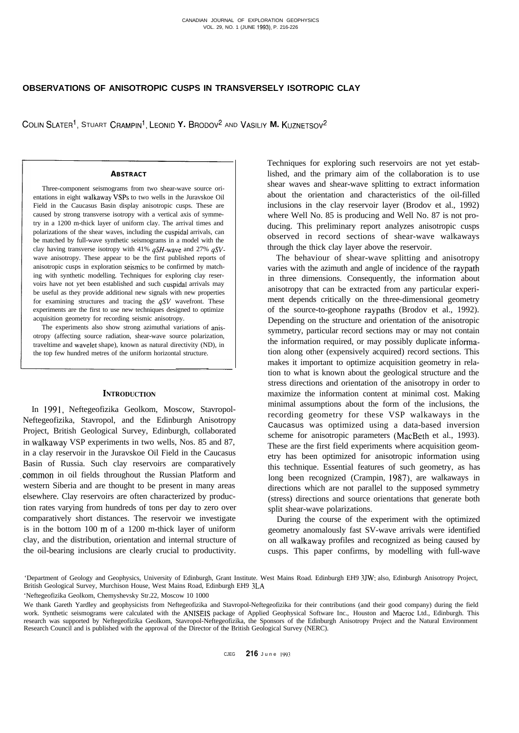# **OBSERVATIONS OF ANISOTROPIC CUSPS IN TRANSVERSELY ISOTROPIC CLAY**

COLIN SLATER<sup>1</sup>, STUART CRAMPIN<sup>1</sup>, LEONID Y. BRODOV<sup>2</sup> AND VASILIY **M.** KUZNETSOV<sup>2</sup>

## **ABSTRACT**

Three-component seismograms from two shear-wave source orientations in eight walkaway VSPs to two wells in the Juravskoe Oil Field in the Caucasus Basin display anisotropic cusps. These are caused by strong transverse isotropy with a vertical axis of symmetry in a 1200 m-thick layer of uniform clay. The arrival times and polarizations of the shear waves, including the cuspidal arrivals, can be matched by full-wave synthetic seismograms in a model with the clay having transverse isotropy with 41% *qSH-wave* and 27% *qSV*wave anisotropy. These appear to be the first published reports of anisotropic cusps in exploration seismics to be confirmed by matching with synthetic modelling. Techniques for exploring clay reservoirs have not yet been established and such cuspidal arrivals may be useful as they provide additional new signals with new properties for examining structures and tracing the *qSV* wavefront. These experiments are the first to use new techniques designed to optimize acquisition geometry for recording seismic anisotropy.

The experiments also show strong azimuthal variations of anisotropy (affecting source radiation, shear-wave source polarization, traveltime and wavelet shape), known as natural directivity (ND), in the top few hundred metres of the uniform horizontal structure.

# **INTRODUCTION**

In 1991, Neftegeofizika Geolkom, Moscow, Stavropol-Neftegeofizika, Stavropol, and the Edinburgh Anisotropy Project, British Geological Survey, Edinburgh, collaborated in walkaway VSP experiments in two wells, Nos. 85 and 87, in a clay reservoir in the Juravskoe Oil Field in the Caucasus Basin of Russia. Such clay reservoirs are comparatively .common in oil fields throughout the Russian Platform and western Siberia and are thought to be present in many areas elsewhere. Clay reservoirs are often characterized by production rates varying from hundreds of tons per day to zero over comparatively short distances. The reservoir we investigate is in the bottom 100 m of a 1200 m-thick layer of uniform clay, and the distribution, orientation and internal structure of the oil-bearing inclusions are clearly crucial to productivity. Techniques for exploring such reservoirs are not yet established, and the primary aim of the collaboration is to use shear waves and shear-wave splitting to extract information about the orientation and characteristics of the oil-filled inclusions in the clay reservoir layer (Brodov et al., 1992) where Well No. 85 is producing and Well No. 87 is not producing. This preliminary report analyzes anisotropic cusps observed in record sections of shear-wave walkaways through the thick clay layer above the reservoir.

The behaviour of shear-wave splitting and anisotropy varies with the azimuth and angle of incidence of the raypath in three dimensions. Consequently, the information about anisotropy that can be extracted from any particular experiment depends critically on the three-dimensional geometry of the source-to-geophone raypaths (Brodov et al., 1992). Depending on the structure and orientation of the anisotropic symmetry, particular record sections may or may not contain the information required, or may possibly duplicate inforrnation along other (expensively acquired) record sections. This makes it important to optimize acquisition geometry in relation to what is known about the geological structure and the stress directions and orientation of the anisotropy in order to maximize the information content at minimal cost. Making minimal assumptions about the form of the inclusions, the recording geometry for these VSP walkaways in the Caucasus was optimized using a data-based inversion scheme for anisotropic parameters (MacBeth et al., 1993). These are the first field experiments where acquisition geometry has been optimized for anisotropic information using this technique. Essential features of such geometry, as has long been recognized (Crampin, 1987), are walkaways in directions which are not parallel to the supposed symmetry (stress) directions and source orientations that generate both split shear-wave polarizations.

During the course of the experiment with the optimized geometry anomalously fast SV-wave arrivals were identified on all walkaway profiles and recognized as being caused by cusps. This paper confirms, by modelling with full-wave

'Department of Geology and Geophysics, University of Edinburgh, Grant Institute. West Mains Road. Edinburgh EH9 3JW: also, Edinburgh Anisotropy Project, British Geological Survey, Murchison House, West Mains Road, Edinburgh EH9 3LA

'Neftegeofizika Geolkom, Chemyshevsky Str.22, Moscow 10 1000

We thank Gareth Yardley and geophysicists from Neftegeofizika and Stavropol-Neftegeofizika for their contributions (and their good company) during the field work. Synthetic seismograms were calculated with the ANISEIS package of Applied Geophysical Software Inc., Houston and Macroc Ltd., Edinburgh. This research was supported by Neftegeofizika Geolkom, Stavropol-Neftegeofizika, the Sponsors of the Edinburgh Anisotropy Project and the Natural Environment Research Council and is published with the approval of the Director of the British Geological Survey (NERC).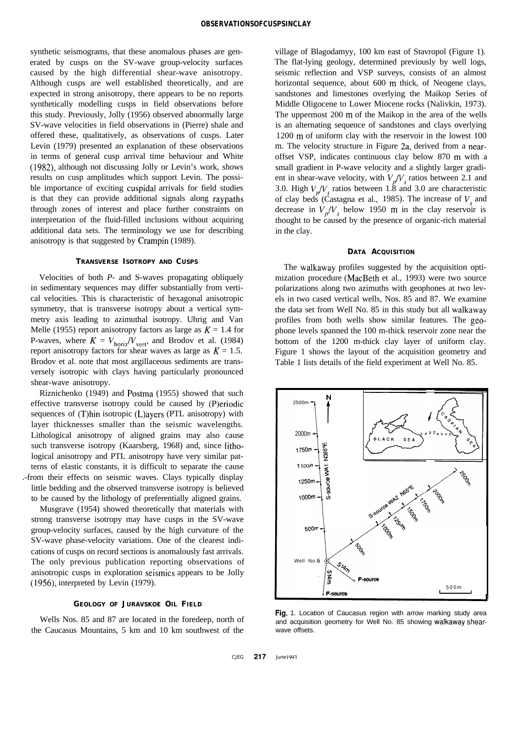synthetic seismograms, that these anomalous phases are generated by cusps on the SV-wave group-velocity surfaces caused by the high differential shear-wave anisotropy. Although cusps are well established theoretically, and are expected in strong anisotropy, there appears to be no reports synthetically modelling cusps in field observations before this study. Previously, Jolly (1956) observed abnormally large SV-wave velocities in field observations in (Pierre) shale and offered these, qualitatively, as observations of cusps. Later Levin (1979) presented an explanation of these observations in terms of general cusp arrival time behaviour and White (1982), although not discussing Jolly or Levin's work, shows results on cusp amplitudes which support Levin. The possible importance of exciting cuspidal arrivals for field studies is that they can provide additional signals along raypaths through zones of interest and place further constraints on interpretation of the fluid-filled inclusions without acquiring additional data sets. The terminology we use for describing anisotropy is that suggested by Crampin (1989).

# **TRANSVERSE ISOTROPY AND CUSPS**

Velocities of both *P-* and S-waves propagating obliquely in sedimentary sequences may differ substantially from vertical velocities. This is characteristic of hexagonal anisotropic symmetry, that is transverse isotropy about a vertical symmetry axis leading to azimuthal isotropy. Uhrig and Van Melle (1955) report anisotropy factors as large as  $K = 1.4$  for P-waves, where  $K = V_{\text{horiz}}/V_{\text{vert}}$ , and Brodov et al. (1984) report anisotropy factors for shear waves as large as  $K = 1.5$ . Brodov et al. note that most argillaceous sediments are transversely isotropic with clays having particularly pronounced shear-wave anisotropy.

Riznichenko (1949) and Postma (1955) showed that such effective transverse isotropy could be caused by (P)eriodic sequences of (T)hin isotropic (L)ayers (PTL anisotropy) with layer thicknesses smaller than the seismic wavelengths. Lithological anisotropy of aligned grains may also cause such transverse isotropy (Kaarsberg, 1968) and, since lithological anisotropy and PTL anisotropy have very similar patterns of elastic constants, it is difficult to separate the cause .-from their effects on seismic waves. Clays typically display little bedding and the observed transverse isotropy is believed to be caused by the lithology of preferentially aligned grains.

Musgrave (1954) showed theoretically that materials with strong transverse isotropy may have cusps in the SV-wave group-velocity surfaces, caused by the high curvature of the SV-wave phase-velocity variations. One of the clearest indications of cusps on record sections is anomalously fast arrivals. The only previous publication reporting observations of anisotropic cusps in exploration seismics appears to be Jolly (1956), interpreted by Levin (1979).

#### **GEOLOGY OF JURAVSKOE OIL FIELD**

Wells Nos. 85 and 87 are located in the foredeep, north of the Caucasus Mountains, 5 km and 10 km southwest of the

village of Blagodamyy, 100 km east of Stavropol (Figure 1). The flat-lying geology, determined previously by well logs, seismic reflection and VSP surveys, consists of an almost horizontal sequence, about 600 m thick, of Neogene clays, sandstones and limestones overlying the Maikop Series of Middle Oligocene to Lower Miocene rocks (Nalivkin, 1973). The uppermost 200 m of the Maikop in the area of the wells is an alternating sequence of sandstones and clays overlying 1200 m of uniform clay with the reservoir in the lowest 100 m. The velocity structure in Figure 2a, derived from a nearoffset VSP, indicates continuous clay below 870 m with a small gradient in P-wave velocity and a slightly larger gradient in shear-wave velocity, with  $V_p/V_s$  ratios between 2.1 and 3.0. High  $V_r/V_r$  ratios between 1.8 and 3.0 are characteristic of clay beds (Castagna et al., 1985). The increase of  $V<sub>s</sub>$  and decrease in  $V_p/V_s$  below 1950 m in the clay reservoir is thought to be caused by the presence of organic-rich material in the clay.

### **DATA ACQUISITION**

The walkaway profiles suggested by the acquisition optimization procedure (MacBeth et al., 1993) were two source polarizations along two azimuths with geophones at two levels in two cased vertical wells, Nos. 85 and 87. We examine the data set from Well No. 85 in this study but all walkaway profiles from both wells show similar features. The geophone levels spanned the 100 m-thick reservoir zone near the bottom of the 1200 m-thick clay layer of uniform clay. Figure 1 shows the layout of the acquisition geometry and Table 1 lists details of the field experiment at Well No. 85.



**Fig.** 1. Location of Caucasus region with arrow marking study area and acquisition geometry for Well No. 85 showing walkaway shearwave offsets.

CJEG **217** June 1993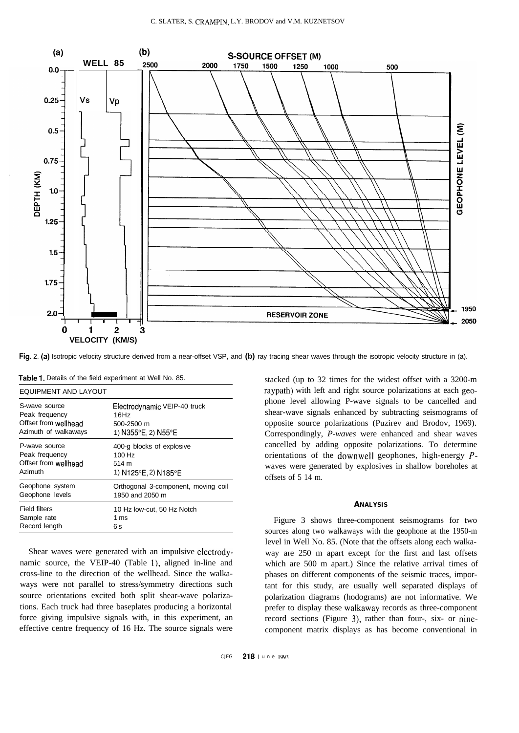

**Fig.** 2. **(a)** Isotropic velocity structure derived from a near-offset VSP, and **(b)** ray tracing shear waves through the isotropic velocity structure in (a).

| EQUIPMENT AND LAYOUT |                                     |  |  |  |  |  |
|----------------------|-------------------------------------|--|--|--|--|--|
| S-wave source        | Electrodynamic VEIP-40 truck        |  |  |  |  |  |
| Peak frequency       | 16Hz                                |  |  |  |  |  |
| Offset from wellhead | 500-2500 m                          |  |  |  |  |  |
| Azimuth of walkaways | 1) N355°E, 2) N55°E                 |  |  |  |  |  |
| P-wave source        | 400-g blocks of explosive           |  |  |  |  |  |
| Peak frequency       | 100 Hz                              |  |  |  |  |  |
| Offset from wellhead | 514 m                               |  |  |  |  |  |
| Azimuth              | 1) N125°E, 2) N185°E                |  |  |  |  |  |
| Geophone system      | Orthogonal 3-component, moving coil |  |  |  |  |  |
| Geophone levels      | 1950 and 2050 m                     |  |  |  |  |  |
| Field filters        | 10 Hz low-cut, 50 Hz Notch          |  |  |  |  |  |
| Sample rate          | 1 ms                                |  |  |  |  |  |
| Record length        | 6 s                                 |  |  |  |  |  |

**Table 1.** Details of the field experiment at Well No. 85.

Shear waves were generated with an impulsive electrodynamic source, the VEIP-40 (Table I), aligned in-line and cross-line to the direction of the wellhead. Since the walkaways were not parallel to stress/symmetry directions such source orientations excited both split shear-wave polarizations. Each truck had three baseplates producing a horizontal force giving impulsive signals with, in this experiment, an effective centre frequency of 16 Hz. The source signals were

phone level allowing P-wave signals to be cancelled and shear-wave signals enhanced by subtracting seismograms of opposite source polarizations (Puzirev and Brodov, 1969). Correspondingly, *P-waves* were enhanced and shear waves cancelled by adding opposite polarizations. To determine orientations of the downwell geophones, high-energy *P*waves were generated by explosives in shallow boreholes at offsets of 5 14 m. **ANALYSIS**

stacked (up to 32 times for the widest offset with a 3200-m raypath) with left and right source polarizations at each geo-

Figure 3 shows three-component seismograms for two sources along two walkaways with the geophone at the 1950-m level in Well No. 85. (Note that the offsets along each walkaway are 250 m apart except for the first and last offsets which are 500 m apart.) Since the relative arrival times of phases on different components of the seismic traces, important for this study, are usually well separated displays of polarization diagrams (hodograms) are not informative. We prefer to display these walkaway records as three-component record sections (Figure 3), rather than four-, six- or ninecomponent matrix displays as has become conventional in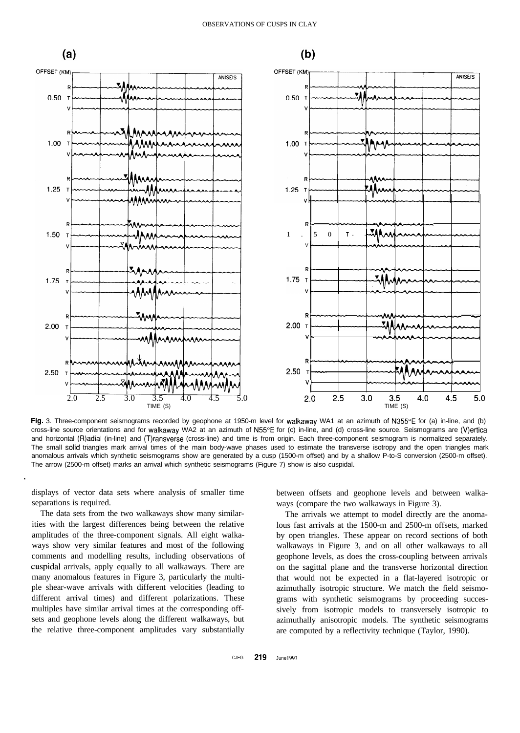

Fig. 3. Three-component seismograms recorded by geophone at 1950-m level for walkaway WA1 at an azimuth of N355°E for (a) in-line, and (b) cross-line source orientations and for walkaway WA2 at an azimuth of N55"E for (c) in-line, and (d) cross-line source. Seismograms are (V)ertical and horizontal (R)adial (in-line) and (T)ransverse (cross-line) and time is from origin. Each three-component seismogram is normalized separately. The small solid triangles mark arrival times of the main body-wave phases used to estimate the transverse isotropy and the open triangles mark anomalous arrivals which synthetic seismograms show are generated by a cusp (1500-m offset) and by a shallow P-to-S conversion (2500-m offset). The arrow (2500-m offset) marks an arrival which synthetic seismograms (Figure 7) show is also cuspidal.

displays of vector data sets where analysis of smaller time separations is required.

.

The data sets from the two walkaways show many similarities with the largest differences being between the relative amplitudes of the three-component signals. All eight walkaways show very similar features and most of the following comments and modelling results, including observations of cuspidal arrivals, apply equally to all walkaways. There are many anomalous features in Figure 3, particularly the multiple shear-wave arrivals with different velocities (leading to different arrival times) and different polarizations. These multiples have similar arrival times at the corresponding offsets and geophone levels along the different walkaways, but the relative three-component amplitudes vary substantially

between offsets and geophone levels and between walkaways (compare the two walkaways in Figure 3).

The arrivals we attempt to model directly are the anomalous fast arrivals at the 1500-m and 2500-m offsets, marked by open triangles. These appear on record sections of both walkaways in Figure 3, and on all other walkaways to all geophone levels, as does the cross-coupling between arrivals on the sagittal plane and the transverse horizontal direction that would not be expected in a flat-layered isotropic or azimuthally isotropic structure. We match the field seismograms with synthetic seismograms by proceeding successively from isotropic models to transversely isotropic to azimuthally anisotropic models. The synthetic seismograms are computed by a reflectivity technique (Taylor, 1990).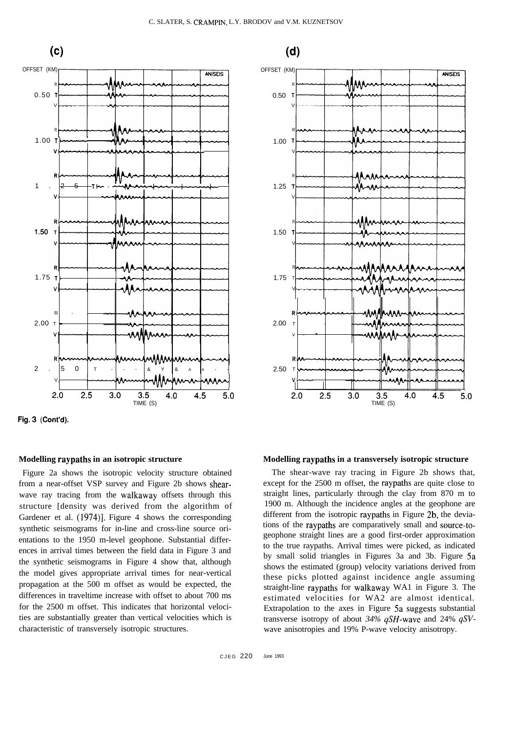

**Fig. 3 (Cont'd).**

# **Modelling raypaths in an isotropic structure**

Figure 2a shows the isotropic velocity structure obtained from a near-offset VSP survey and Figure 2b shows shearwave ray tracing from the walkaway offsets through this structure [density was derived from the algorithm of Gardener et al. (1974)]. Figure 4 shows the corresponding synthetic seismograms for in-line and cross-line source orientations to the 1950 m-level geophone. Substantial differences in arrival times between the field data in Figure 3 and the synthetic seismograms in Figure 4 show that, although the model gives appropriate arrival times for near-vertical propagation at the 500 m offset as would be expected, the differences in traveltime increase with offset to about 700 ms for the 2500 m offset. This indicates that horizontal velocities are substantially greater than vertical velocities which is characteristic of transversely isotropic structures.



# **Modelling raypaths in a transversely isotropic structure**

The shear-wave ray tracing in Figure 2b shows that, except for the 2500 m offset, the raypaths are quite close to straight lines, particularly through the clay from 870 m to 1900 m. Although the incidence angles at the geophone are different from the isotropic raypaths in Figure 2b, the deviations of the raypaths are comparatively small and source-togeophone straight lines are a good first-order approximation to the true raypaths. Arrival times were picked, as indicated by small solid triangles in Figures 3a and 3b. Figure 5a shows the estimated (group) velocity variations derived from these picks plotted against incidence angle assuming straight-line raypaths for walkaway WA1 in Figure 3. The estimated velocities for WA2 are almost identical. Extrapolation to the axes in Figure 5a **suggests** substantial transverse isotropy of about *34% qSH-wave* and 24% *qSV*wave anisotropies and 19% P-wave velocity anisotropy.

 $(d)$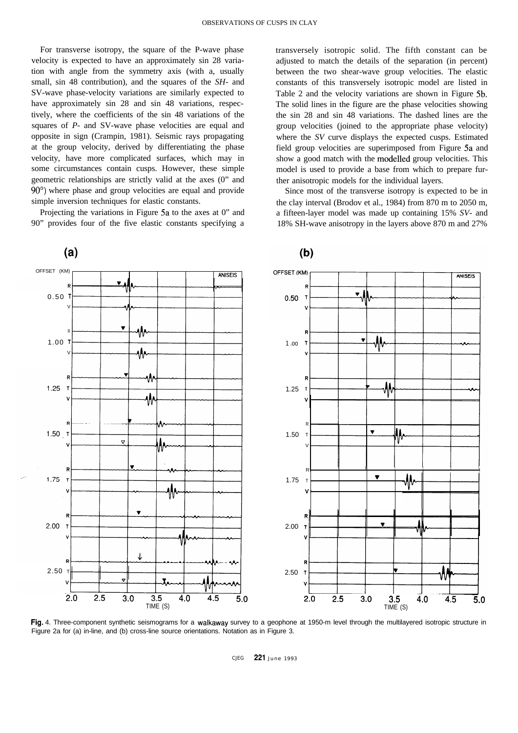For transverse isotropy, the square of the P-wave phase velocity is expected to have an approximately sin 28 variation with angle from the symmetry axis (with a, usually small, sin 48 contribution), and the squares of the *SH-* and SV-wave phase-velocity variations are similarly expected to have approximately sin 28 and sin 48 variations, respectively, where the coefficients of the sin 48 variations of the squares of *P-* and SV-wave phase velocities are equal and opposite in sign (Crampin, 1981). Seismic rays propagating at the group velocity, derived by differentiating the phase velocity, have more complicated surfaces, which may in some circumstances contain cusps. However, these simple geometric relationships are strictly valid at the axes (0" and 90°) where phase and group velocities are equal and provide simple inversion techniques for elastic constants.

Projecting the variations in Figure 5a to the axes at 0" and 90" provides four of the five elastic constants specifying a transversely isotropic solid. The fifth constant can be adjusted to match the details of the separation (in percent) between the two shear-wave group velocities. The elastic constants of this transversely isotropic model are listed in Table 2 and the velocity variations are shown in Figure 5b. The solid lines in the figure are the phase velocities showing the sin 28 and sin 48 variations. The dashed lines are the group velocities (joined to the appropriate phase velocity) where the *SV* curve displays the expected cusps. Estimated field group velocities are superimposed from Figure 5a and show a good match with the modelled group velocities. This model is used to provide a base from which to prepare further anisotropic models for the individual layers.

Since most of the transverse isotropy is expected to be in the clay interval (Brodov et al., 1984) from 870 m to 2050 m, a fifteen-layer model was made up containing 15% *SV-* and 18% SH-wave anisotropy in the layers above 870 m and 27%



**Fig.** 4. Three-component synthetic seismograms for a walkaway survey to a geophone at 1950-m level through the multilayered isotropic structure in Figure 2a for (a) in-line, and (b) cross-line source orientations. Notation as in Figure 3.

CJEG **221** June 199 3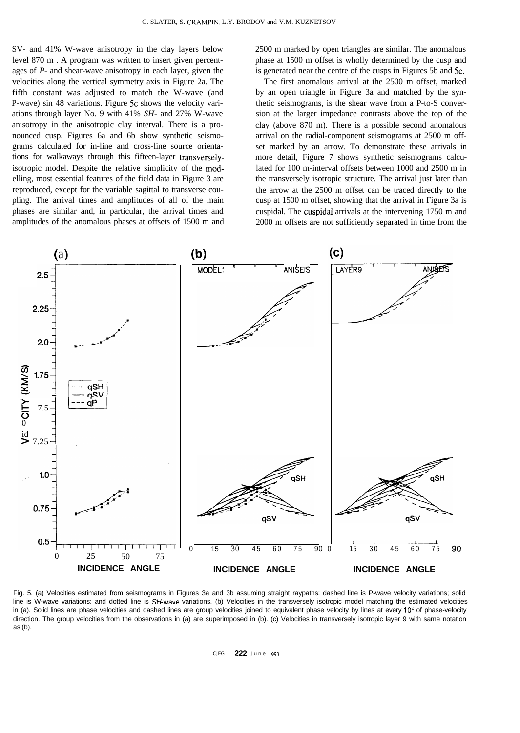SV- and 41% W-wave anisotropy in the clay layers below level 870 m . A program was written to insert given percentages of *P-* and shear-wave anisotropy in each layer, given the velocities along the vertical symmetry axis in Figure 2a. The fifth constant was adjusted to match the W-wave (and P-wave) sin 48 variations. Figure 5c shows the velocity variations through layer No. 9 with 41% *SH-* and 27% W-wave anisotropy in the anisotropic clay interval. There is a pronounced cusp. Figures 6a and 6b show synthetic seismograms calculated for in-line and cross-line source orientations for walkaways through this fifteen-layer transverselyisotropic model. Despite the relative simplicity of the modelling, most essential features of the field data in Figure 3 are reproduced, except for the variable sagittal to transverse coupling. The arrival times and amplitudes of all of the main phases are similar and, in particular, the arrival times and amplitudes of the anomalous phases at offsets of 1500 m and 2500 m marked by open triangles are similar. The anomalous phase at 1500 m offset is wholly determined by the cusp and is generated near the centre of the cusps in Figures 5b and 5c.

The first anomalous arrival at the 2500 m offset, marked by an open triangle in Figure 3a and matched by the synthetic seismograms, is the shear wave from a P-to-S conversion at the larger impedance contrasts above the top of the clay (above 870 m). There is a possible second anomalous arrival on the radial-component seismograms at 2500 m offset marked by an arrow. To demonstrate these arrivals in more detail, Figure 7 shows synthetic seismograms calculated for 100 m-interval offsets between 1000 and 2500 m in the transversely isotropic structure. The arrival just later than the arrow at the 2500 m offset can be traced directly to the cusp at 1500 m offset, showing that the arrival in Figure 3a is cuspidal. The cuspidal arrivals at the intervening 1750 m and 2000 m offsets are not sufficiently separated in time from the



Fig. 5. (a) Velocities estimated from seismograms in Figures 3a and 3b assuming straight raypaths: dashed line is P-wave velocity variations; solid line is W-wave variations; and dotted line is SH-wave variations. (b) Velocities in the transversely isotropic model matching the estimated velocities in (a). Solid lines are phase velocities and dashed lines are group velocities joined to equivalent phase velocity by lines at every  $10^{\circ}$  of phase-velocity direction. The group velocities from the observations in (a) are superimposed in (b). (c) Velocities in transversely isotropic layer 9 with same notation as (b).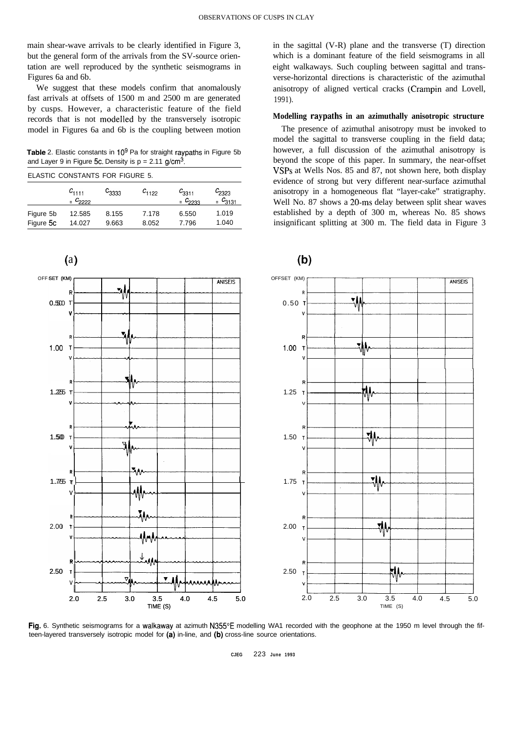main shear-wave arrivals to be clearly identified in Figure 3, but the general form of the arrivals from the SV-source orientation are well reproduced by the synthetic seismograms in Figures 6a and 6b.

We suggest that these models confirm that anomalously fast arrivals at offsets of 1500 m and 2500 m are generated by cusps. However, a characteristic feature of the field records that is not modelled by the transversely isotropic model in Figures 6a and 6b is the coupling between motion

**Table** 2. Elastic constants in 10<sup>9</sup> Pa for straight raypaths in Figure 5b and Layer 9 in Figure 5c. Density is  $p = 2.11$  g/cm<sup>3</sup>.

| ELASTIC CONSTANTS FOR FIGURE 5. |  |  |
|---------------------------------|--|--|
|---------------------------------|--|--|

|           | $c_{1111}$<br>$C_{2222}$ | $\text{c}_{3333}$ | $c_{1122}$ | $c_{3311}$<br>$C_{2233}$ | $c_{2323}$<br>$C_{3131}$ |
|-----------|--------------------------|-------------------|------------|--------------------------|--------------------------|
| Figure 5b | 12.585                   | 8.155             | 7.178      | 6.550                    | 1.019                    |
| Figure 5c | 14.027                   | 9.663             | 8.052      | 7.796                    | 1.040                    |

( a) OFF SET (KM) OFFSET (KM) SET (KM) **The Contract of Late Contract of Late Contract On ANISEIS** ANISEIS **R. R** 새  $0.500$  $0.50$ v- **V V R** 3A **1.00 <sup>T</sup> 1.00 <sup>T</sup> . V V I I I I R**  $1.255$  T 1.25 **V R** য়৸  $1.50$  T 1.50 **V** V' **R** 채 1.75 1.75.75 **TTi <sup>I</sup> <sup>I</sup> V, R** 7M 2.00 **T** 2.00 **R-- V** 2.50 **<sup>T</sup>** 2.50 **Vv-c 4.P-4-3** 2.0 2.5 3.0 3.5 4.0 4.5 5.0 2.0 2.5 3.0 3.5 4.0 4.5 5.0 TIME (S) TIME (S)

Fig. 6. Synthetic seismograms for a walkaway at azimuth N355°E modelling WA1 recorded with the geophone at the 1950 m level through the fifteen-layered transversely isotropic model for **(a)** in-line, and **(b)** cross-line source orientations.

in the sagittal (V-R) plane and the transverse (T) direction which is a dominant feature of the field seismograms in all eight walkaways. Such coupling between sagittal and transverse-horizontal directions is characteristic of the azimuthal anisotropy of aligned vertical cracks (Crampin and Lovell, 1991).

### **Modelling raypaths in an azimuthally anisotropic structure**

The presence of azimuthal anisotropy must be invoked to model the sagittal to transverse coupling in the field data; however, a full discussion of the azimuthal anisotropy is beyond the scope of this paper. In summary, the near-offset VSPs at Wells Nos. 85 and 87, not shown here, both display evidence of strong but very different near-surface azimuthal anisotropy in a homogeneous flat "layer-cake" stratigraphy. Well No. 87 shows a 20-ms delay between split shear waves established by a depth of 300 m, whereas No. 85 shows insignificant splitting at 300 m. The field data in Figure 3



# **CJEG** 223 **June 1993**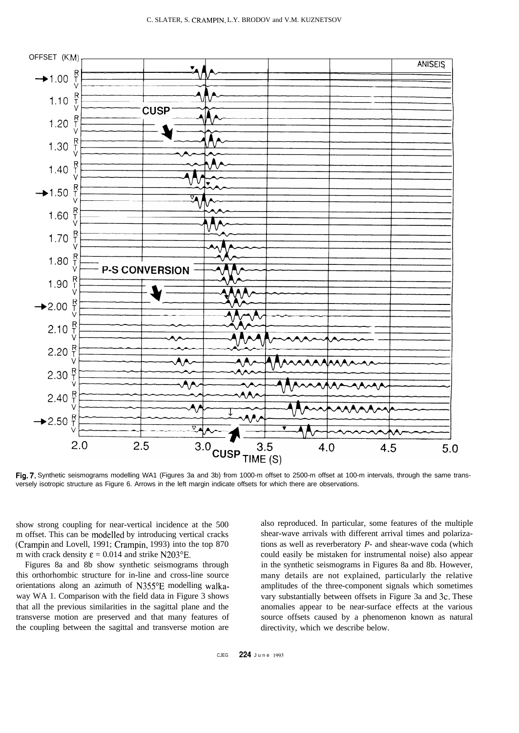

**Fig. 7.** Synthetic seismograms modelling WA1 (Figures 3a and 3b) from 1000-m offset to 2500-m offset at 100-m intervals, through the same transversely isotropic structure as Figure 6. Arrows in the left margin indicate offsets for which there are observations.

show strong coupling for near-vertical incidence at the 500 m offset. This can be modelled by introducing vertical cracks (Crampin and Lovell, 1991; Crampin, 1993) into the top 870 m with crack density  $\varepsilon = 0.014$  and strike N203°E.

Figures 8a and 8b show synthetic seismograms through this orthorhombic structure for in-line and cross-line source orientations along an azimuth of N355"E modelling walkaway WA 1. Comparison with the field data in Figure 3 shows that all the previous similarities in the sagittal plane and the transverse motion are preserved and that many features of the coupling between the sagittal and transverse motion are

also reproduced. In particular, some features of the multiple shear-wave arrivals with different arrival times and polarizations as well as reverberatory *P-* and shear-wave coda (which could easily be mistaken for instrumental noise) also appear in the synthetic seismograms in Figures 8a and 8b. However, many details are not explained, particularly the relative amplitudes of the three-component signals which sometimes vary substantially between offsets in Figure 3a and 3c. These anomalies appear to be near-surface effects at the various source offsets caused by a phenomenon known as natural directivity, which we describe below.

CJEG **224** June 1993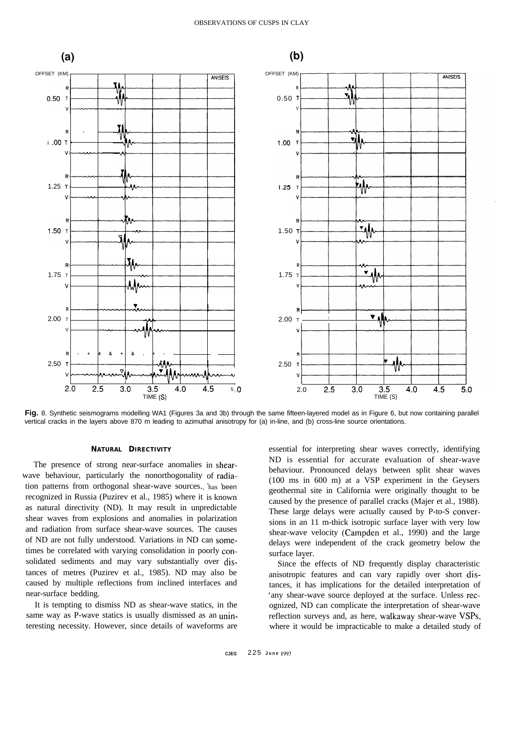

**Fig.** 8. Synthetic seismograms modelling WA1 (Figures 3a and 3b) through the same fifteen-layered model as in Figure 6, but now containing parallel vertical cracks in the layers above 870 m leading to azimuthal anisotropy for (a) in-line, and (b) cross-line source orientations.

#### **NATURAL DIRECTIVITY**

The presence of strong near-surface anomalies in shearwave behaviour, particularly the nonorthogonality of radia tion patterns from orthogonal shear-wave sources., has been recognized in Russia (Puzirev et al., 1985) where it is known as natural directivity (ND). It may result in unpredictable shear waves from explosions and anomalies in polarization and radiation from surface shear-wave sources. The causes of ND are not fully understood. Variations in ND can sometimes be correlated with varying consolidation in poorly consolidated sediments and may vary substantially over distances of metres (Puzirev et al., 1985). ND may also be caused by multiple reflections from inclined interfaces and near-surface bedding.

It is tempting to dismiss ND as shear-wave statics, in the same way as P-wave statics is usually dismissed as an uninteresting necessity. However, since details of waveforms are

essential for interpreting shear waves correctly, identifying ND is essential for accurate evaluation of shear-wave behaviour. Pronounced delays between split shear waves (100 ms in 600 m) at a VSP experiment in the Geysers geothermal site in California were originally thought to be caused by the presence of parallel cracks (Majer et al., 1988). These large delays were actually caused by P-to-S conversions in an 11 m-thick isotropic surface layer with very low shear-wave velocity (Campden et al., 1990) and the large delays were independent of the crack geometry below the surface layer.

Since the effects of ND frequently display characteristic anisotropic features and can vary rapidly over short distances, it has implications for the detailed interpretation of 'any shear-wave source deployed at the surface. Unless recognized, ND can complicate the interpretation of shear-wave reflection surveys and, as here, walkaway shear-wave VSPs, where it would be impracticable to make a detailed study of